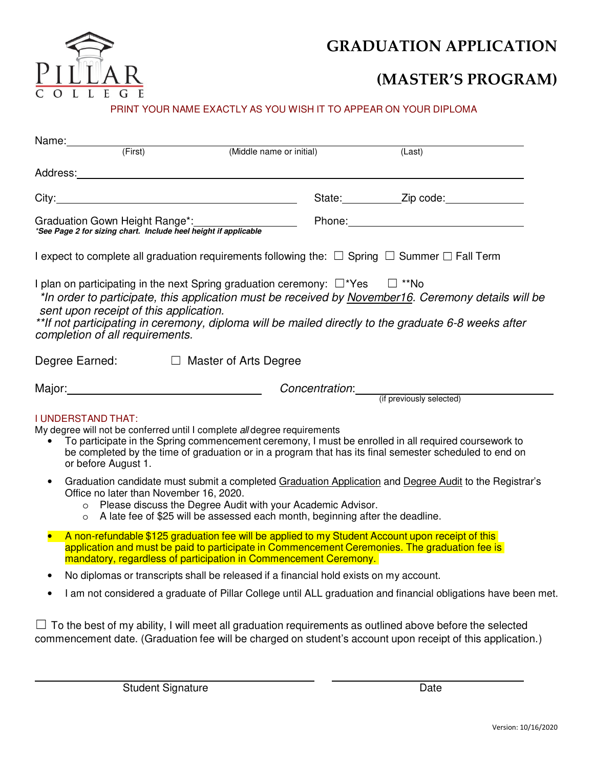

# **GRADUATION APPLICATION**

# **(MASTER'S PROGRAM)**

### PRINT YOUR NAME EXACTLY AS YOU WISH IT TO APPEAR ON YOUR DIPLOMA

| Name:                                                                                                                                                                                                                                                                                                                                                                                     |                                                                                                                                                                                                                                                                                                        |                                        |                          |                                                                                                                |  |  |  |
|-------------------------------------------------------------------------------------------------------------------------------------------------------------------------------------------------------------------------------------------------------------------------------------------------------------------------------------------------------------------------------------------|--------------------------------------------------------------------------------------------------------------------------------------------------------------------------------------------------------------------------------------------------------------------------------------------------------|----------------------------------------|--------------------------|----------------------------------------------------------------------------------------------------------------|--|--|--|
|                                                                                                                                                                                                                                                                                                                                                                                           | (First)                                                                                                                                                                                                                                                                                                |                                        | (Middle name or initial) | (Last)                                                                                                         |  |  |  |
|                                                                                                                                                                                                                                                                                                                                                                                           |                                                                                                                                                                                                                                                                                                        |                                        |                          |                                                                                                                |  |  |  |
|                                                                                                                                                                                                                                                                                                                                                                                           |                                                                                                                                                                                                                                                                                                        |                                        |                          | State: <u>Zip</u> code: 2012                                                                                   |  |  |  |
| Graduation Gown Height Range*:<br>*See Page 2 for sizing chart. Include heel height if applicable                                                                                                                                                                                                                                                                                         |                                                                                                                                                                                                                                                                                                        |                                        |                          |                                                                                                                |  |  |  |
| I expect to complete all graduation requirements following the: $\Box$ Spring $\Box$ Summer $\Box$ Fall Term                                                                                                                                                                                                                                                                              |                                                                                                                                                                                                                                                                                                        |                                        |                          |                                                                                                                |  |  |  |
| I plan on participating in the next Spring graduation ceremony: $\square^*$ Yes $\square$ **No<br>*In order to participate, this application must be received by November16. Ceremony details will be<br>sent upon receipt of this application.<br>**If not participating in ceremony, diploma will be mailed directly to the graduate 6-8 weeks after<br>completion of all requirements. |                                                                                                                                                                                                                                                                                                        |                                        |                          |                                                                                                                |  |  |  |
| Degree Earned: □ Master of Arts Degree                                                                                                                                                                                                                                                                                                                                                    |                                                                                                                                                                                                                                                                                                        |                                        |                          |                                                                                                                |  |  |  |
|                                                                                                                                                                                                                                                                                                                                                                                           |                                                                                                                                                                                                                                                                                                        | Major: National Contract of the Major: |                          | Concentration: (if previously selected)                                                                        |  |  |  |
| <b>I UNDERSTAND THAT:</b><br>My degree will not be conferred until I complete all degree requirements<br>To participate in the Spring commencement ceremony, I must be enrolled in all required coursework to<br>$\bullet$<br>be completed by the time of graduation or in a program that has its final semester scheduled to end on<br>or before August 1.                               |                                                                                                                                                                                                                                                                                                        |                                        |                          |                                                                                                                |  |  |  |
| $\bullet$                                                                                                                                                                                                                                                                                                                                                                                 | Graduation candidate must submit a completed Graduation Application and Degree Audit to the Registrar's<br>Office no later than November 16, 2020.<br>o Please discuss the Degree Audit with your Academic Advisor.<br>o A late fee of \$25 will be assessed each month, beginning after the deadline. |                                        |                          |                                                                                                                |  |  |  |
|                                                                                                                                                                                                                                                                                                                                                                                           | A non-refundable \$125 graduation fee will be applied to my Student Account upon receipt of this<br>application and must be paid to participate in Commencement Ceremonies. The graduation fee is<br>mandatory, regardless of participation in Commencement Ceremony.                                  |                                        |                          |                                                                                                                |  |  |  |
| $\bullet$                                                                                                                                                                                                                                                                                                                                                                                 | No diplomas or transcripts shall be released if a financial hold exists on my account.                                                                                                                                                                                                                 |                                        |                          |                                                                                                                |  |  |  |
| $\bullet$                                                                                                                                                                                                                                                                                                                                                                                 |                                                                                                                                                                                                                                                                                                        |                                        |                          | I am not considered a graduate of Pillar College until ALL graduation and financial obligations have been met. |  |  |  |

 $\Box$  To the best of my ability, I will meet all graduation requirements as outlined above before the selected commencement date. (Graduation fee will be charged on student's account upon receipt of this application.)